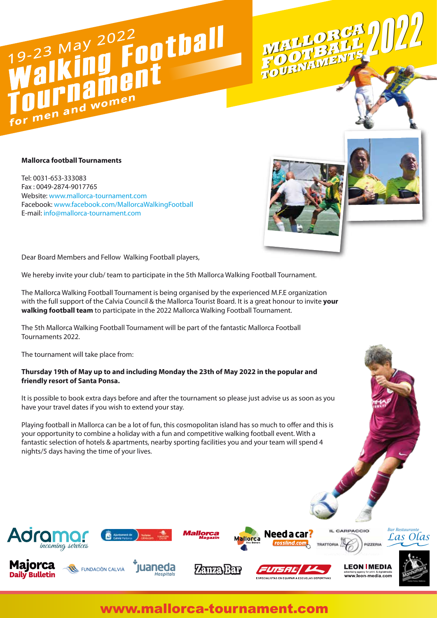# 19-23 May 2022<br>Walking Football Walking First **for men and women**

#### **Mallorca football Tournaments**

Tel: 0031-653-333083 Fax : 0049-2874-9017765 Website: www.mallorca-tournament.com Facebook: www.facebook.com/MallorcaWalkingFootball E-mail: info@mallorca-tournament.com



**MALLORCA MALLORCA**

**TOURNAMENT<sup>S</sup>**

**TOURNAMENT<sup>S</sup> FOOTBAL<sup>L</sup>**

2022 **FOOTBAL<sup>L</sup>**



advertising agency for print- & digitalmedi<br>WWW.leon-media.con

**ESPECIALISTAS EN EQUIPAR A ESCUELAS DEPORTIVAS** 

2022

Dear Board Members and Fellow Walking Football players,

We hereby invite your club/ team to participate in the 5th Mallorca Walking Football Tournament.

The Mallorca Walking Football Tournament is being organised by the experienced M.F.E organization with the full support of the Calvia Council & the Mallorca Tourist Board. It is a great honour to invite **your walking football team** to participate in the 2022 Mallorca Walking Football Tournament.

The 5th Mallorca Walking Football Tournament will be part of the fantastic Mallorca Football Tournaments 2022.

The tournament will take place from:

#### **Thursday 19th of May up to and including Monday the 23th of May 2022 in the popular and friendly resort of Santa Ponsa.**

It is possible to book extra days before and after the tournament so please just advise us as soon as you have your travel dates if you wish to extend your stay.

Playing football in Mallorca can be a lot of fun, this cosmopolitan island has so much to offer and this is your opportunity to combine a holiday with a fun and competitive walking football event. With a fantastic selection of hotels & apartments, nearby sporting facilities you and your team will spend 4 nights/5 days having the time of your lives.



# www.mallorca-tournament.com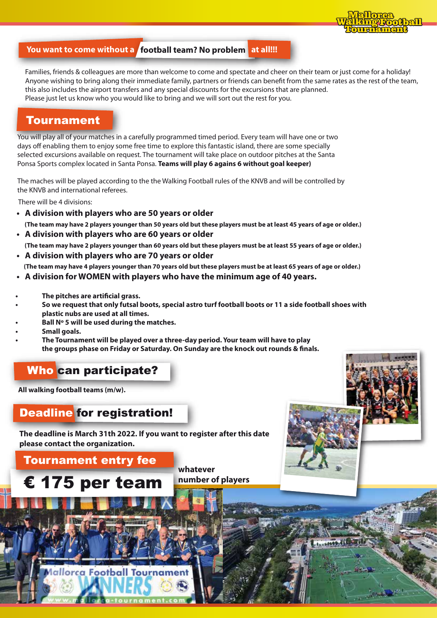

#### **You want to come without a football team? No problem at all!!!**

Families, friends & colleagues are more than welcome to come and spectate and cheer on their team or just come for a holiday! Anyone wishing to bring along their immediate family, partners or friends can benefit from the same rates as the rest of the team, this also includes the airport transfers and any special discounts for the excursions that are planned. Please just let us know who you would like to bring and we will sort out the rest for you.

## Tournament

You will play all of your matches in a carefully programmed timed period. Every team will have one or two days off enabling them to enjoy some free time to explore this fantastic island, there are some specially selected excursions available on request. The tournament will take place on outdoor pitches at the Santa Ponsa Sports complex located in Santa Ponsa. **Teams will play 6 agains 6 without goal keeper)**

The maches will be played according to the the Walking Football rules of the KNVB and will be controlled by the KNVB and international referees.

There will be 4 divisions:

**• A division with players who are 50 years or older**

 **(The team may have 2 players younger than 50 years old but these players must be at least 45 years of age or older.)**

**• A division with players who are 60 years or older**

 **(The team may have 2 players younger than 60 years old but these players must be at least 55 years of age or older.)** 

**• A division with players who are 70 years or older** 

 **(The team may have 4 players younger than 70 years old but these players must be at least 65 years of age or older.)**

- **A division for WOMEN with players who have the minimum age of 40 years.**
- **The pitches are artificial grass.**
- **So we request that only futsal boots, special astro turf football boots or 11 a side football shoes with plastic nubs are used at all times.**
- **Ball Nº 5 will be used during the matches.**
- **Small goals.**
- **The Tournament will be played over a three-day period. Your team will have to play**  the groups phase on Friday or Saturday. On Sunday are the knock out rounds & finals.

# Who can participate?

**All walking football teams (m/w).**

# Deadline for registration!

**The deadline is March 31th 2022. If you want to register after this date please contact the organization.**

## Tournament entry fee

€ 175 per team

ca Football Tournar

**whatever number of players**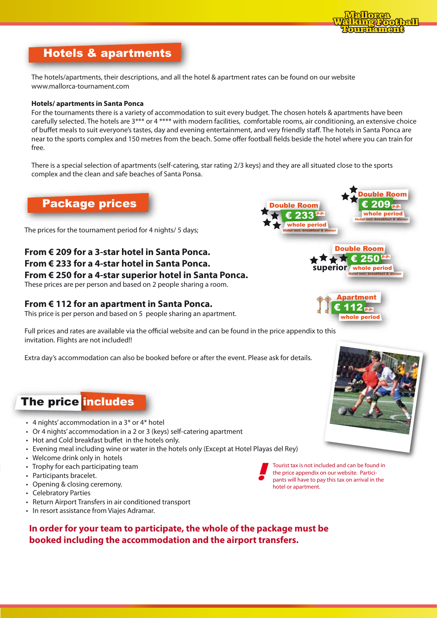

# Hotels & apartments

The hotels/apartments, their descriptions, and all the hotel & apartment rates can be found on our website www.mallorca-tournament.com

#### **Hotels/ apartments in Santa Ponca**

For the tournaments there is a variety of accommodation to suit every budget. The chosen hotels & apartments have been carefully selected. The hotels are 3\*\*\* or 4 \*\*\*\* with modern facilities, comfortable rooms, air conditioning, an extensive choice of buffet meals to suit everyone's tastes, day and evening entertainment, and very friendly staff. The hotels in Santa Ponca are near to the sports complex and 150 metres from the beach. Some offer football fields beside the hotel where you can train for free.

There is a special selection of apartments (self-catering, star rating 2/3 keys) and they are all situated close to the sports complex and the clean and safe beaches of Santa Ponsa.

## Package prices

The prices for the tournament period for 4 nights/ 5 days;

# **From € 209 for a 3-star hotel in Santa Ponca. From € 233 for a 4-star hotel in Santa Ponca. From € 250 for a 4-star superior hotel in Santa Ponca.**

These prices are per person and based on 2 people sharing a room.

### **From € 112 for an apartment in Santa Ponca.**

This price is per person and based on 5 people sharing an apartment.

Full prices and rates are available via the official website and can be found in the price appendix to this invitation. Flights are not included!!

Extra day's accommodation can also be booked before or after the event. Please ask for details.

# The price includes

- 4 nights' accommodation in a 3\* or 4\* hotel
- Or 4 nights' accommodation in a 2 or 3 (keys) self-catering apartment
- Hot and Cold breakfast buffet in the hotels only.
- Evening meal including wine or water in the hotels only (Except at Hotel Playas del Rey)
- Welcome drink only in hotels
- Trophy for each participating team
- Participants bracelet.
- Opening & closing ceremony.
- Celebratory Parties
- Return Airport Transfers in air conditioned transport
- In resort assistance from Viajes Adramar.

**In order for your team to participate, the whole of the package must be booked including the accommodation and the airport transfers.**



Tourist tax is not included and can be found in the price appendix on our website. Participants will have to pay this tax on arrival in the hotel or apartment.





**superior** whole period

€ 250 p.p.

Hotel incl. breakfast & dinner